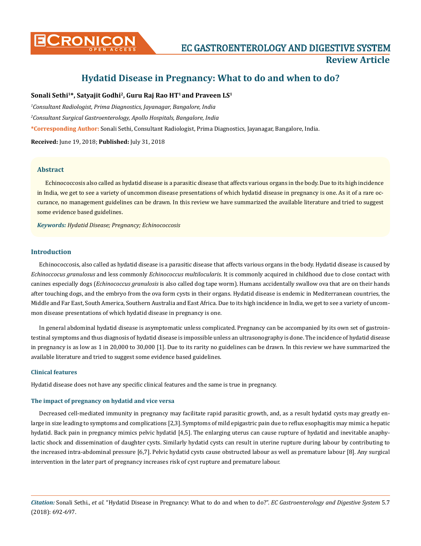

# **Hydatid Disease in Pregnancy: What to do and when to do?**

# Sonali Sethi<sup>1\*</sup>, Satyajit Godhi<sup>2</sup>, Guru Raj Rao HT<sup>1</sup> and Praveen LS<sup>1</sup>

*1 Consultant Radiologist, Prima Diagnostics, Jayanagar, Bangalore, India* 

*2 Consultant Surgical Gastroenterology, Apollo Hospitals, Bangalore, India*

**\*Corresponding Author:** Sonali Sethi, Consultant Radiologist, Prima Diagnostics, Jayanagar, Bangalore, India.

**Received:** June 19, 2018; **Published:** July 31, 2018

# **Abstract**

Echinococcosis also called as hydatid disease is a parasitic disease that affects various organs in the body. Due to its high incidence in India, we get to see a variety of uncommon disease presentations of which hydatid disease in pregnancy is one. As it of a rare occurance, no management guidelines can be drawn. In this review we have summarized the available literature and tried to suggest some evidence based guidelines.

*Keywords: Hydatid Disease; Pregnancy; Echinococcosis*

# **Introduction**

Echinococcosis, also called as hydatid disease is a parasitic disease that affects various organs in the body. Hydatid disease is caused by *Echinoccocus granulosus* and less commonly *Echinococcus multilocularis*. It is commonly acquired in childhood due to close contact with canines especially dogs (*Echinococcus granulosis* is also called dog tape worm). Humans accidentally swallow ova that are on their hands after touching dogs, and the embryo from the ova form cysts in their organs. Hydatid disease is endemic in Mediterranean countries, the Middle and Far East, South America, Southern Australia and East Africa. Due to its high incidence in India, we get to see a variety of uncommon disease presentations of which hydatid disease in pregnancy is one.

In general abdominal hydatid disease is asymptomatic unless complicated. Pregnancy can be accompanied by its own set of gastrointestinal symptoms and thus diagnosis of hydatid disease is impossible unless an ultrasonography is done. The incidence of hydatid disease in pregnancy is as low as 1 in 20,000 to 30,000 [1]. Due to its rarity no guidelines can be drawn. In this review we have summarized the available literature and tried to suggest some evidence based guidelines.

## **Clinical features**

Hydatid disease does not have any specific clinical features and the same is true in pregnancy.

## **The impact of pregnancy on hydatid and vice versa**

Decreased cell-mediated immunity in pregnancy may facilitate rapid parasitic growth, and, as a result hydatid cysts may greatly enlarge in size leading to symptoms and complications [2,3]. Symptoms of mild epigastric pain due to reflux esophagitis may mimic a hepatic hydatid. Back pain in pregnancy mimics pelvic hydatid [4,5]. The enlarging uterus can cause rupture of hydatid and inevitable anaphylactic shock and dissemination of daughter cysts. Similarly hydatid cysts can result in uterine rupture during labour by contributing to the increased intra-abdominal pressure [6,7]. Pelvic hydatid cysts cause obstructed labour as well as premature labour [8]. Any surgical intervention in the later part of pregnancy increases risk of cyst rupture and premature labour.

*Citation:* Sonali Sethi., *et al*. "Hydatid Disease in Pregnancy: What to do and when to do?". *EC Gastroenterology and Digestive System* 5.7 (2018): 692-697.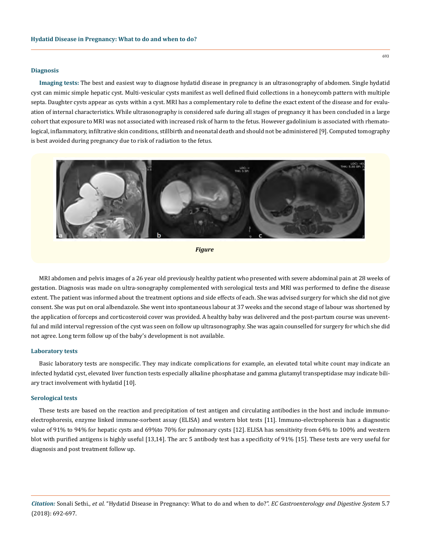#### **Diagnosis**

**Imaging tests:** The best and easiest way to diagnose hydatid disease in pregnancy is an ultrasonography of abdomen. Single hydatid cyst can mimic simple hepatic cyst. Multi-vesicular cysts manifest as well defined fluid collections in a honeycomb pattern with multiple septa. Daughter cysts appear as cysts within a cyst. MRI has a complementary role to define the exact extent of the disease and for evaluation of internal characteristics. While ultrasonography is considered safe during all stages of pregnancy it has been concluded in a large cohort that exposure to MRI was not associated with increased risk of harm to the fetus. However gadolinium is associated with rhematological, inflammatory, infiltrative skin conditions, stillbirth and neonatal death and should not be administered [9]. Computed tomography is best avoided during pregnancy due to risk of radiation to the fetus.



```
Figure
```
MRI abdomen and pelvis images of a 26 year old previously healthy patient who presented with severe abdominal pain at 28 weeks of gestation. Diagnosis was made on ultra-sonography complemented with serological tests and MRI was performed to define the disease extent. The patient was informed about the treatment options and side effects of each. She was advised surgery for which she did not give consent. She was put on oral albendazole. She went into spontaneous labour at 37 weeks and the second stage of labour was shortened by the application of forceps and corticosteroid cover was provided. A healthy baby was delivered and the post-partum course was uneventful and mild interval regression of the cyst was seen on follow up ultrasonography. She was again counselled for surgery for which she did not agree. Long term follow up of the baby's development is not available.

#### **Laboratory tests**

Basic laboratory tests are nonspecific. They may indicate complications for example, an elevated total white count may indicate an infected hydatid cyst, elevated liver function tests especially alkaline phosphatase and gamma glutamyl transpeptidase may indicate biliary tract involvement with hydatid [10].

#### **Serological tests**

These tests are based on the reaction and precipitation of test antigen and circulating antibodies in the host and include immunoelectrophoresis, enzyme linked immune-sorbent assay (ELISA) and western blot tests [11]. Immuno-electrophoresis has a diagnostic value of 91% to 94% for hepatic cysts and 69%to 70% for pulmonary cysts [12]. ELISA has sensitivity from 64% to 100% and western blot with purified antigens is highly useful [13,14]. The arc 5 antibody test has a specificity of 91% [15]. These tests are very useful for diagnosis and post treatment follow up.

*Citation:* Sonali Sethi., *et al*. "Hydatid Disease in Pregnancy: What to do and when to do?". *EC Gastroenterology and Digestive System* 5.7 (2018): 692-697.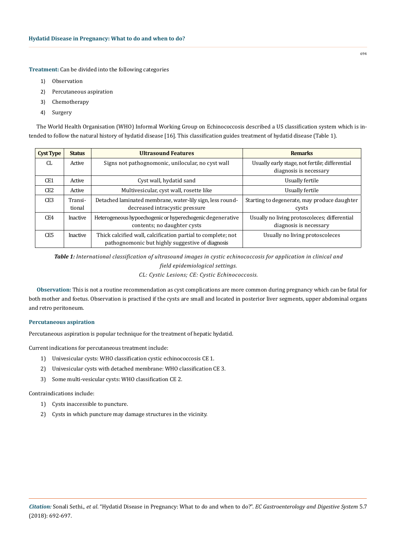**Treatment:** Can be divided into the following categories

- 1) Observation
- 2) Percutaneous aspiration
- 3) Chemotherapy
- 4) Surgery

The World Health Organisation (WHO) Informal Working Group on Echinococcosis described a US classification system which is intended to follow the natural history of hydatid disease [16]. This classification guides treatment of hydatid disease (Table 1).

| <b>Cyst Type</b> | <b>Status</b>     | <b>Ultrasound Features</b>                                                                                       | <b>Remarks</b>                                                           |
|------------------|-------------------|------------------------------------------------------------------------------------------------------------------|--------------------------------------------------------------------------|
| CL.              | Active            | Signs not pathognomonic, unilocular, no cyst wall                                                                | Usually early stage, not fertile; differential<br>diagnosis is necessary |
| CE1              | Active            | Cyst wall, hydatid sand                                                                                          | Usually fertile                                                          |
| CE <sub>2</sub>  | Active            | Multivesicular, cyst wall, rosette like                                                                          | Usually fertile                                                          |
| CE <sub>3</sub>  | Transi-<br>tional | Detached laminated membrane, water-lily sign, less round-<br>decreased intracystic pressure                      | Starting to degenerate, may produce daughter<br>cysts                    |
| CE4              | Inactive          | Heterogeneous hypoechogenic or hyperechogenic degenerative<br>contents; no daughter cysts                        | Usually no living protoscoleces; differential<br>diagnosis is necessary  |
| CE5              | Inactive          | Thick calcified wall, calcification partial to complete; not<br>pathognomonic but highly suggestive of diagnosis | Usually no living protoscoleces                                          |

*Table 1: International classification of ultrasound images in cystic echinococcosis for application in clinical and field epidemiological settings. CL: Cystic Lesions; CE: Cystic Echinococcosis.*

**Observation:** This is not a routine recommendation as cyst complications are more common during pregnancy which can be fatal for both mother and foetus. Observation is practised if the cysts are small and located in posterior liver segments, upper abdominal organs and retro peritoneum.

## **Percutaneous aspiration**

Percutaneous aspiration is popular technique for the treatment of hepatic hydatid.

Current indications for percutaneous treatment include:

- 1) Univesicular cysts: WHO classification cystic echinococcosis CE 1.
- 2) Univesicular cysts with detached membrane: WHO classification CE 3.
- 3) Some multi-vesicular cysts: WHO classification CE 2.

Contraindications include:

- 1) Cysts inaccessible to puncture.
- 2) Cysts in which puncture may damage structures in the vicinity.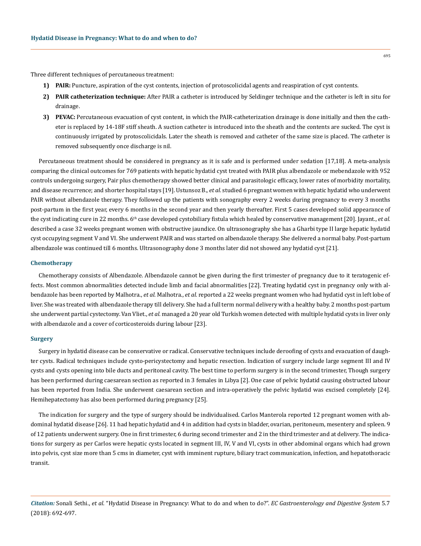Three different techniques of percutaneous treatment:

- **1) PAIR:** Puncture, aspiration of the cyst contents, injection of protoscolicidal agents and reaspiration of cyst contents.
- **2) PAIR catheterization technique:** After PAIR a catheter is introduced by Seldinger technique and the catheter is left in situ for drainage.
- **3) PEVAC:** Percutaneous evacuation of cyst content, in which the PAIR-catheterization drainage is done initially and then the catheter is replaced by 14-18F stiff sheath. A suction catheter is introduced into the sheath and the contents are sucked. The cyst is continuously irrigated by protoscolicidals. Later the sheath is removed and catheter of the same size is placed. The catheter is removed subsequently once discharge is nil.

Percutaneous treatment should be considered in pregnancy as it is safe and is performed under sedation [17,18]. A meta-analysis comparing the clinical outcomes for 769 patients with hepatic hydatid cyst treated with PAIR plus albendazole or mebendazole with 952 controls undergoing surgery, Pair plus chemotherapy showed better clinical and parasitologic efficacy, lower rates of morbidity mortality, and disease recurrence; and shorter hospital stays [19]. [Ustunsoz B](https://www.ncbi.nlm.nih.gov/pubmed/?term=Ustunsoz%20B%5BAuthor%5D&cauthor=true&cauthor_uid=17972086)., *et al.* studied 6 pregnant women with hepatic hydatid who underwent PAIR without albendazole therapy. They followed up the patients with sonography every 2 weeks during pregnancy to every 3 months post-partum in the first year, every 6 months in the second year and then yearly thereafter. First 5 cases developed solid appearance of the cyst indicating cure in 22 months. 6<sup>th</sup> case developed cystobiliary fistula which healed by conservative management [20]. Jayant., *et al.* described a case 32 weeks pregnant women with obstructive jaundice. On ultrasonography she has a Gharbi type II large hepatic hydatid cyst occupying segment V and VI. She underwent PAIR and was started on albendazole therapy. She delivered a normal baby. Post-partum albendazole was continued till 6 months. Ultrasonography done 3 months later did not showed any hydatid cyst [21].

#### **Chemotherapy**

Chemotherapy consists of Albendazole. Albendazole cannot be given during the first trimester of pregnancy due to it teratogenic effects. Most common abnormalities detected include limb and facial abnormalities [22]. Treating hydatid cyst in pregnancy only with albendazole has been reported by Malhotra., *et al.* Malhotra., *et al.* reported a 22 weeks pregnant women who had hydatid cyst in left lobe of liver. She was treated with albendazole therapy till delivery. She had a full term normal delivery with a healthy baby. 2 months post-partum she underwent partial cystectomy. Van Vliet., *et al.* managed a 20 year old Turkish women detected with multiple hydatid cysts in liver only with albendazole and a cover of corticosteroids during labour [23].

#### **Surgery**

Surgery in hydatid disease can be conservative or radical. Conservative techniques include deroofing of cysts and evacuation of daughter cysts. Radical techniques include cysto-pericystectomy and hepatic resection. Indication of surgery include large segment III and IV cysts and cysts opening into bile ducts and peritoneal cavity. The best time to perform surgery is in the second trimester, Though surgery has been performed during caesarean section as reported in 3 females in Libya [2]. One case of pelvic hydatid causing obstructed labour has been reported from India. She underwent caesarean section and intra-operatively the pelvic hydatid was excised completely [24]. Hemihepatectomy has also been performed during pregnancy [25].

The indication for surgery and the type of surgery should be individualised. Carlos Manterola reported 12 pregnant women with abdominal hydatid disease [26]. 11 had hepatic hydatid and 4 in addition had cysts in bladder, ovarian, peritoneum, mesentery and spleen. 9 of 12 patients underwent surgery. One in first trimester, 6 during second trimester and 2 in the third trimester and at delivery. The indications for surgery as per Carlos were hepatic cysts located in segment III, IV, V and VI, cysts in other abdominal organs which had grown into pelvis, cyst size more than 5 cms in diameter, cyst with imminent rupture, biliary tract communication, infection, and hepatothoracic transit.

695

*Citation:* Sonali Sethi., *et al*. "Hydatid Disease in Pregnancy: What to do and when to do?". *EC Gastroenterology and Digestive System* 5.7 (2018): 692-697.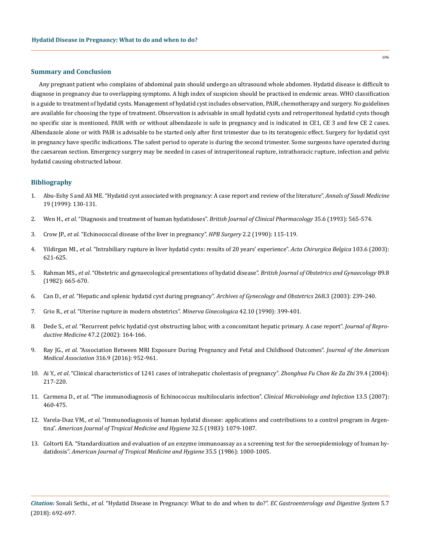#### **Summary and Conclusion**

Any pregnant patient who complains of abdominal pain should undergo an ultrasound whole abdomen. Hydatid disease is difficult to diagnose in pregnancy due to overlapping symptoms. A high index of suspicion should be practised in endemic areas. WHO classification is a guide to treatment of hydatid cysts. Management of hydatid cyst includes observation, PAIR, chemotherapy and surgery. No guidelines are available for choosing the type of treatment. Observation is advisable in small hydatid cysts and retroperitoneal hydatid cysts though no specific size is mentioned. PAIR with or without albendazole is safe in pregnancy and is indicated in CE1, CE 3 and few CE 2 cases. Albendazole alone or with PAIR is advisable to be started only after first trimester due to its teratogenic effect. Surgery for hydatid cyst in pregnancy have specific indications. The safest period to operate is during the second trimester. Some surgeons have operated during the caesarean section. Emergency surgery may be needed in cases of intraperitoneal rupture, intrathoracic rupture, infection and pelvic hydatid causing obstructed labour.

### **Bibliography**

- 1. [Abu-Eshy S and Ali ME. "Hydatid cyst associated with pregnancy: A case report and review of the literature".](http://www.annsaudimed.net/files.php?force&file=ansmej_19_2_130_400893702.pdf) *Annals of Saudi Medicine*  [19 \(1999\): 130-131.](http://www.annsaudimed.net/files.php?force&file=ansmej_19_2_130_400893702.pdf)
- 2. Wen H., *et al*[. "Diagnosis and treatment of human hydatidoses".](https://www.ncbi.nlm.nih.gov/pmc/articles/PMC1381596/) *British Journal of Clinical Pharmacology* 35.6 (1993): 565-574.
- 3. Crow JP., *et al*[. "Echinococcal disease of the liver in pregnancy".](https://www.ncbi.nlm.nih.gov/pubmed/2278905) *HPB Surgery* 2.2 (1990): 115-119.
- 4. Yildirgan MI., *et al*[. "Intrabiliary rupture in liver hydatid cysts: results of 20 years' experience".](https://www.ncbi.nlm.nih.gov/pubmed/14743572) *Acta Chirurgica Belgica* 103.6 (2003): [621-625.](https://www.ncbi.nlm.nih.gov/pubmed/14743572)
- 5. Rahman MS., *et al*[. "Obstetric and gynaecological presentations of hydatid disease".](https://www.ncbi.nlm.nih.gov/pubmed/7104259) *British Journal of Obstetrics and Gynaecology* 89.8 [\(1982\): 665-670.](https://www.ncbi.nlm.nih.gov/pubmed/7104259)
- 6. Can D., *et al*[. "Hepatic and splenic hydatid cyst during pregnancy".](https://www.ncbi.nlm.nih.gov/pubmed/12942259) *Archives of Gynecology and Obstetrics* 268.3 (2003): 239-240.
- 7. Grio R., *et al*[. "Uterine rupture in modern obstetrics".](https://www.ncbi.nlm.nih.gov/pubmed/2290596) *Minerva Ginecologica* 42.10 (1990): 399-401.
- 8. Dede S., *et al*[. "Recurrent pelvic hydatid cyst obstructing labor, with a concomitant hepatic primary. A case report".](https://www.ncbi.nlm.nih.gov/pubmed/11883356) *Journal of Reproductive Medicine* [47.2 \(2002\): 164-166.](https://www.ncbi.nlm.nih.gov/pubmed/11883356)
- 9. Ray JG., *et al*[. "Association Between MRI Exposure During Pregnancy and Fetal and Childhood Outcomes".](https://www.ncbi.nlm.nih.gov/pubmed/27599330) *Journal of the American Medical Association* [316.9 \(2016\): 952-961.](https://www.ncbi.nlm.nih.gov/pubmed/27599330)
- 10. Ai Y., *et al*[. "Clinical characteristics of 1241 cases of intrahepatic cholestasis of pregnancy".](https://www.ncbi.nlm.nih.gov/pubmed/15130343) *Zhonghua Fu Chan Ke Za Zhi* 39.4 (2004): [217-220.](https://www.ncbi.nlm.nih.gov/pubmed/15130343)
- 11. Carmena D., *et al*[. "The immunodiagnosis of Echinococcus multilocularis infection".](https://www.ncbi.nlm.nih.gov/pubmed/17430337) *Clinical Microbiology and Infection* 13.5 (2007): [460-475.](https://www.ncbi.nlm.nih.gov/pubmed/17430337)
- 12. Varela-Dıaz VM., *et al*[. "Immunodiagnosis of human hydatid disease: applications and contributions to a control program in Argen](https://www.ajtmh.org/content/journals/10.4269/ajtmh.1983.32.1079)tina". *[American Journal of Tropical Medicine and Hygiene](https://www.ajtmh.org/content/journals/10.4269/ajtmh.1983.32.1079)* 32.5 (1983): 1079-1087.
- 13. [Coltorti EA. "Standardization and evaluation of an enzyme immunoassay as a screening test for the seroepidemiology of human hy](http://www.ajtmh.org/content/journals/10.4269/ajtmh.1986.35.1000)datidosis". *[American Journal of Tropical Medicine and Hygiene](http://www.ajtmh.org/content/journals/10.4269/ajtmh.1986.35.1000)* 35.5 (1986): 1000-1005.